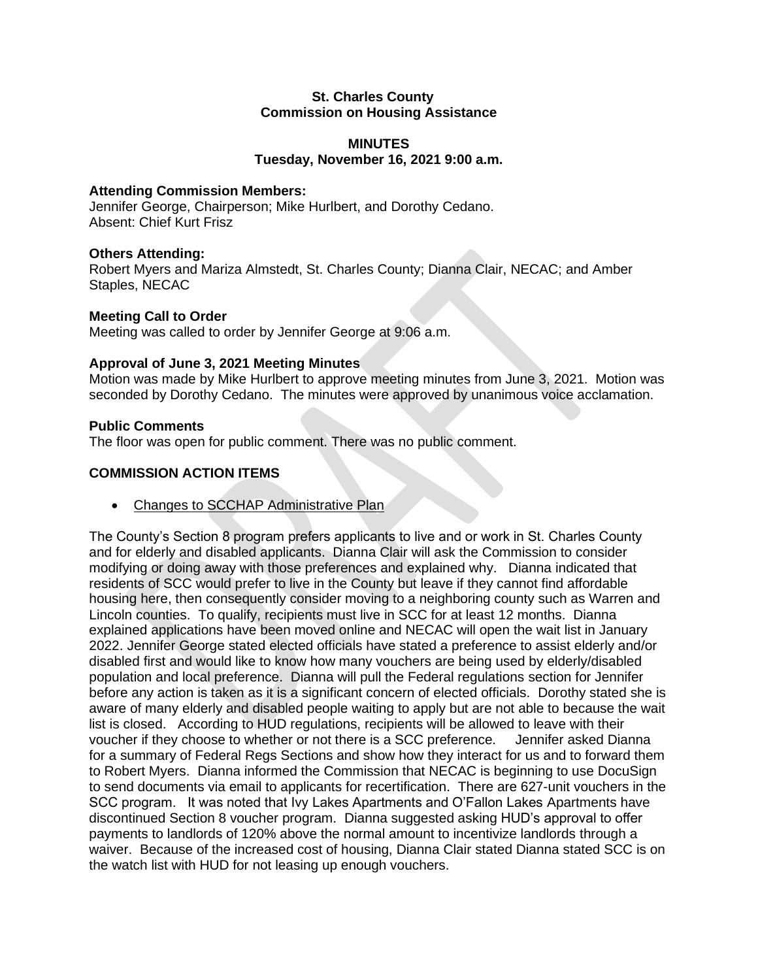#### **St. Charles County Commission on Housing Assistance**

# **MINUTES Tuesday, November 16, 2021 9:00 a.m.**

### **Attending Commission Members:**

Jennifer George, Chairperson; Mike Hurlbert, and Dorothy Cedano. Absent: Chief Kurt Frisz

#### **Others Attending:**

Robert Myers and Mariza Almstedt, St. Charles County; Dianna Clair, NECAC; and Amber Staples, NECAC

#### **Meeting Call to Order**

Meeting was called to order by Jennifer George at 9:06 a.m.

#### **Approval of June 3, 2021 Meeting Minutes**

Motion was made by Mike Hurlbert to approve meeting minutes from June 3, 2021. Motion was seconded by Dorothy Cedano. The minutes were approved by unanimous voice acclamation.

#### **Public Comments**

The floor was open for public comment. There was no public comment.

## **COMMISSION ACTION ITEMS**

• Changes to SCCHAP Administrative Plan

The County's Section 8 program prefers applicants to live and or work in St. Charles County and for elderly and disabled applicants. Dianna Clair will ask the Commission to consider modifying or doing away with those preferences and explained why. Dianna indicated that residents of SCC would prefer to live in the County but leave if they cannot find affordable housing here, then consequently consider moving to a neighboring county such as Warren and Lincoln counties. To qualify, recipients must live in SCC for at least 12 months. Dianna explained applications have been moved online and NECAC will open the wait list in January 2022. Jennifer George stated elected officials have stated a preference to assist elderly and/or disabled first and would like to know how many vouchers are being used by elderly/disabled population and local preference. Dianna will pull the Federal regulations section for Jennifer before any action is taken as it is a significant concern of elected officials. Dorothy stated she is aware of many elderly and disabled people waiting to apply but are not able to because the wait list is closed. According to HUD regulations, recipients will be allowed to leave with their voucher if they choose to whether or not there is a SCC preference. Jennifer asked Dianna for a summary of Federal Regs Sections and show how they interact for us and to forward them to Robert Myers. Dianna informed the Commission that NECAC is beginning to use DocuSign to send documents via email to applicants for recertification. There are 627-unit vouchers in the SCC program. It was noted that Ivy Lakes Apartments and O'Fallon Lakes Apartments have discontinued Section 8 voucher program. Dianna suggested asking HUD's approval to offer payments to landlords of 120% above the normal amount to incentivize landlords through a waiver. Because of the increased cost of housing, Dianna Clair stated Dianna stated SCC is on the watch list with HUD for not leasing up enough vouchers.